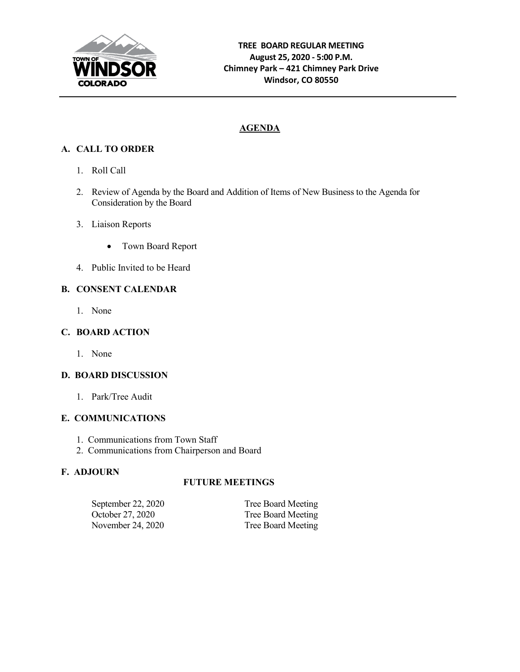

# **AGENDA**

# **A. CALL TO ORDER**

- 1. Roll Call
- 2. Review of Agenda by the Board and Addition of Items of New Business to the Agenda for Consideration by the Board
- 3. Liaison Reports
	- Town Board Report
- 4. Public Invited to be Heard

## **B. CONSENT CALENDAR**

1. None

## **C. BOARD ACTION**

1. None

#### **D. BOARD DISCUSSION**

1. Park/Tree Audit

#### **E. COMMUNICATIONS**

- 1. Communications from Town Staff
- 2. Communications from Chairperson and Board

#### **F. ADJOURN**

#### **FUTURE MEETINGS**

| September 22, 2020 | Tree Board Meeting |
|--------------------|--------------------|
| October 27, 2020   | Tree Board Meeting |
| November 24, 2020  | Tree Board Meeting |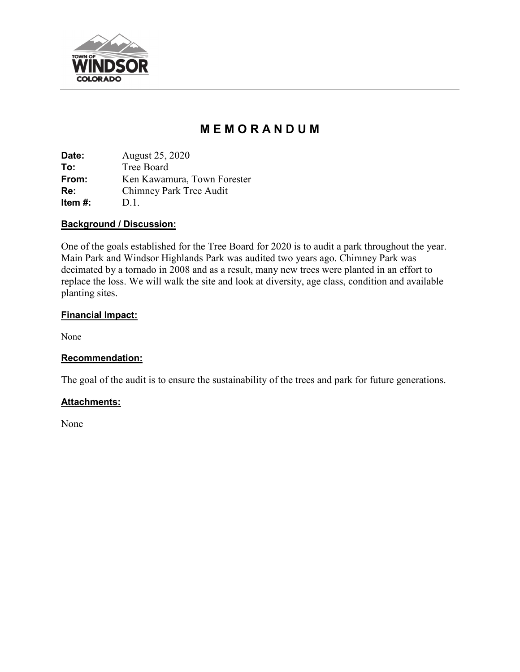

# **M E M O R A N D U M**

**Date:** August 25, 2020 **To:** Tree Board **From:** Ken Kawamura, Town Forester **Re:** Chimney Park Tree Audit **Item #:** D.1.

#### **Background / Discussion:**

One of the goals established for the Tree Board for 2020 is to audit a park throughout the year. Main Park and Windsor Highlands Park was audited two years ago. Chimney Park was decimated by a tornado in 2008 and as a result, many new trees were planted in an effort to replace the loss. We will walk the site and look at diversity, age class, condition and available planting sites.

## **Financial Impact:**

None

#### **Recommendation:**

The goal of the audit is to ensure the sustainability of the trees and park for future generations.

#### **Attachments:**

None